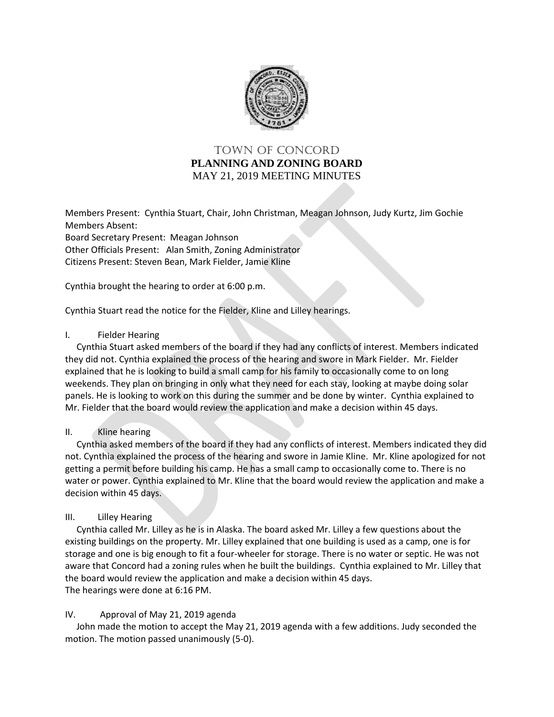

# TOWN OF Concord **PLANNING AND ZONING BOARD** MAY 21, 2019 MEETING MINUTES

Members Present: Cynthia Stuart, Chair, John Christman, Meagan Johnson, Judy Kurtz, Jim Gochie Members Absent: Board Secretary Present: Meagan Johnson Other Officials Present: Alan Smith, Zoning Administrator Citizens Present: Steven Bean, Mark Fielder, Jamie Kline

Cynthia brought the hearing to order at 6:00 p.m.

Cynthia Stuart read the notice for the Fielder, Kline and Lilley hearings.

#### I. Fielder Hearing

 Cynthia Stuart asked members of the board if they had any conflicts of interest. Members indicated they did not. Cynthia explained the process of the hearing and swore in Mark Fielder. Mr. Fielder explained that he is looking to build a small camp for his family to occasionally come to on long weekends. They plan on bringing in only what they need for each stay, looking at maybe doing solar panels. He is looking to work on this during the summer and be done by winter. Cynthia explained to Mr. Fielder that the board would review the application and make a decision within 45 days.

#### II. Kline hearing

 Cynthia asked members of the board if they had any conflicts of interest. Members indicated they did not. Cynthia explained the process of the hearing and swore in Jamie Kline. Mr. Kline apologized for not getting a permit before building his camp. He has a small camp to occasionally come to. There is no water or power. Cynthia explained to Mr. Kline that the board would review the application and make a decision within 45 days.

#### III. Lilley Hearing

 Cynthia called Mr. Lilley as he is in Alaska. The board asked Mr. Lilley a few questions about the existing buildings on the property. Mr. Lilley explained that one building is used as a camp, one is for storage and one is big enough to fit a four-wheeler for storage. There is no water or septic. He was not aware that Concord had a zoning rules when he built the buildings. Cynthia explained to Mr. Lilley that the board would review the application and make a decision within 45 days. The hearings were done at 6:16 PM.

#### IV. Approval of May 21, 2019 agenda

 John made the motion to accept the May 21, 2019 agenda with a few additions. Judy seconded the motion. The motion passed unanimously (5-0).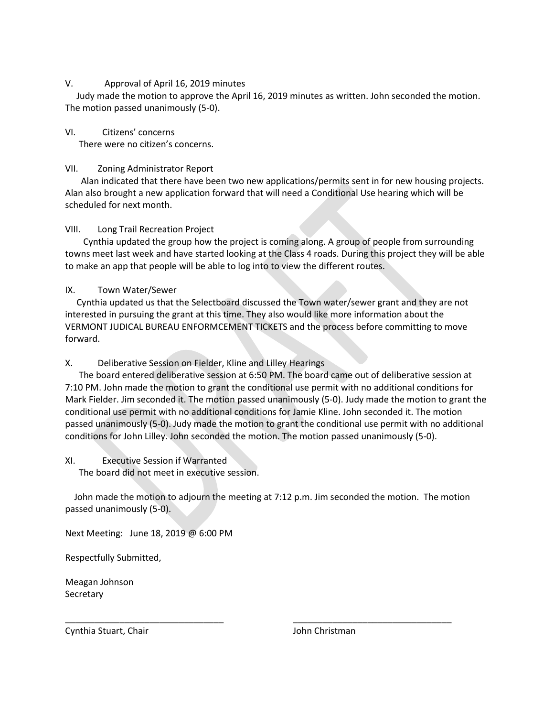#### V. Approval of April 16, 2019 minutes

 Judy made the motion to approve the April 16, 2019 minutes as written. John seconded the motion. The motion passed unanimously (5-0).

VI. Citizens' concerns

There were no citizen's concerns.

### VII. Zoning Administrator Report

 Alan indicated that there have been two new applications/permits sent in for new housing projects. Alan also brought a new application forward that will need a Conditional Use hearing which will be scheduled for next month.

## VIII. Long Trail Recreation Project

 Cynthia updated the group how the project is coming along. A group of people from surrounding towns meet last week and have started looking at the Class 4 roads. During this project they will be able to make an app that people will be able to log into to view the different routes.

## IX. Town Water/Sewer

 Cynthia updated us that the Selectboard discussed the Town water/sewer grant and they are not interested in pursuing the grant at this time. They also would like more information about the VERMONT JUDICAL BUREAU ENFORMCEMENT TICKETS and the process before committing to move forward.

X. Deliberative Session on Fielder, Kline and Lilley Hearings

 The board entered deliberative session at 6:50 PM. The board came out of deliberative session at 7:10 PM. John made the motion to grant the conditional use permit with no additional conditions for Mark Fielder. Jim seconded it. The motion passed unanimously (5-0). Judy made the motion to grant the conditional use permit with no additional conditions for Jamie Kline. John seconded it. The motion passed unanimously (5-0). Judy made the motion to grant the conditional use permit with no additional conditions for John Lilley. John seconded the motion. The motion passed unanimously (5-0).

## XI. Executive Session if Warranted

The board did not meet in executive session.

 John made the motion to adjourn the meeting at 7:12 p.m. Jim seconded the motion. The motion passed unanimously (5-0).

\_\_\_\_\_\_\_\_\_\_\_\_\_\_\_\_\_\_\_\_\_\_\_\_\_\_\_\_\_\_\_\_ \_\_\_\_\_\_\_\_\_\_\_\_\_\_\_\_\_\_\_\_\_\_\_\_\_\_\_\_\_\_\_\_

Next Meeting: June 18, 2019 @ 6:00 PM

Respectfully Submitted,

Meagan Johnson **Secretary** 

Cynthia Stuart, Chair **John Christman**